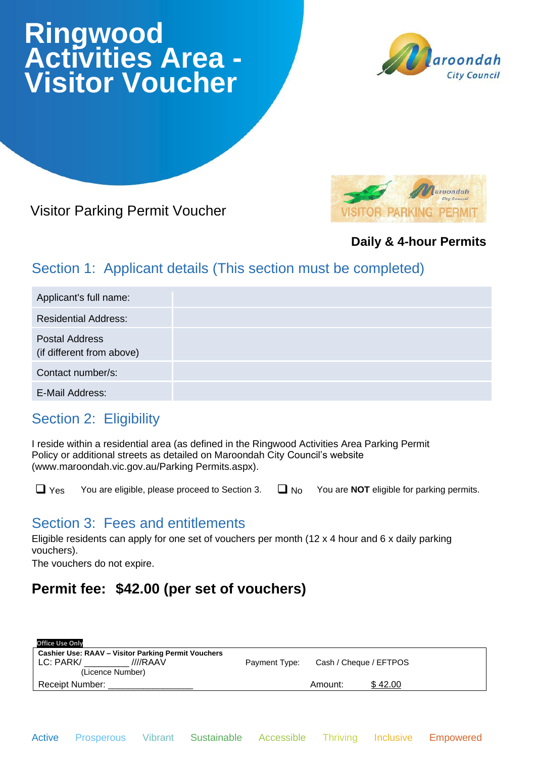# **Ringwood Activities Area - Visitor Voucher**



# Visitor Parking Permit Voucher



#### **Daily & 4-hour Permits**

# Section 1: Applicant details (This section must be completed)

| Applicant's full name:                             |  |
|----------------------------------------------------|--|
| <b>Residential Address:</b>                        |  |
| <b>Postal Address</b><br>(if different from above) |  |
| Contact number/s:                                  |  |
| E-Mail Address:                                    |  |

## Section 2: Eligibility

I reside within a residential area (as defined in the Ringwood Activities Area Parking Permit Policy or additional streets as detailed on Maroondah City Council's website (www.maroondah.vic.gov.au/Parking Permits.aspx).

❑ Yes You are eligible, please proceed to Section 3. ❑ No You are **NOT** eligible for parking permits.

## Section 3: Fees and entitlements

Eligible residents can apply for one set of vouchers per month (12 x 4 hour and 6 x daily parking vouchers).

The vouchers do not expire.

# **Permit fee: \$42.00 (per set of vouchers)**

| Payment Type: |         |                        |
|---------------|---------|------------------------|
|               |         |                        |
|               | Amount: | \$42.00                |
|               |         | Cash / Cheque / EFTPOS |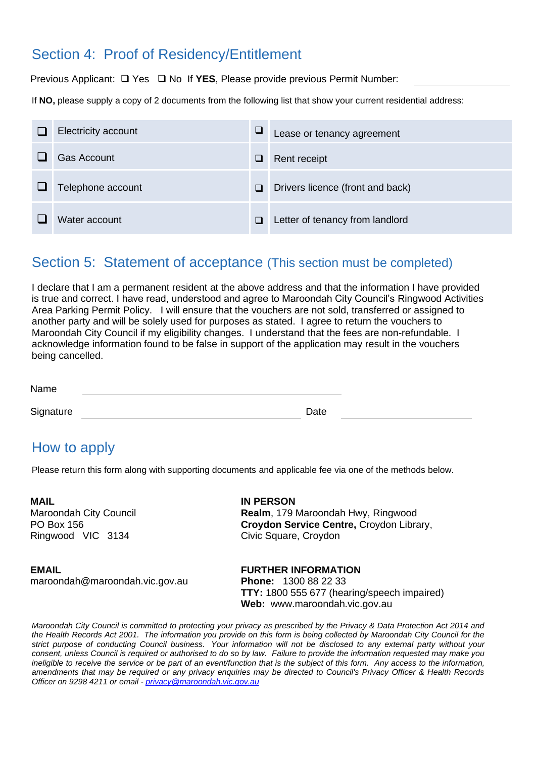#### Section 4: Proof of Residency/Entitlement

Previous Applicant: ❑ Yes ❑ No If **YES**, Please provide previous Permit Number:

If **NO,** please supply a copy of 2 documents from the following list that show your current residential address:

| Electricity account | ⊔      | Lease or tenancy agreement       |
|---------------------|--------|----------------------------------|
| <b>Gas Account</b>  | ⊔      | Rent receipt                     |
| Telephone account   | $\Box$ | Drivers licence (front and back) |
| Water account       | $\Box$ | Letter of tenancy from landlord  |

#### Section 5: Statement of acceptance (This section must be completed)

I declare that I am a permanent resident at the above address and that the information I have provided is true and correct. I have read, understood and agree to Maroondah City Council's Ringwood Activities Area Parking Permit Policy. I will ensure that the vouchers are not sold, transferred or assigned to another party and will be solely used for purposes as stated. I agree to return the vouchers to Maroondah City Council if my eligibility changes. I understand that the fees are non-refundable. I acknowledge information found to be false in support of the application may result in the vouchers being cancelled.

| Signature | 1101110 |      |
|-----------|---------|------|
|           |         |      |
|           |         |      |
|           |         | Date |

#### How to apply

Name

Please return this form along with supporting documents and applicable fee via one of the methods below.

**MAIL** Maroondah City Council PO Box 156 Ringwood VIC 3134

**IN PERSON Realm**, 179 Maroondah Hwy, Ringwood **Croydon Service Centre,** Croydon Library, Civic Square, Croydon

**EMAIL** maroondah@maroondah.vic.gov.au **FURTHER INFORMATION Phone:** 1300 88 22 33 **TTY:** 1800 555 677 (hearing/speech impaired) **Web:** www.maroondah.vic.gov.au

*Maroondah City Council is committed to protecting your privacy as prescribed by the Privacy & Data Protection Act 2014 and the Health Records Act 2001. The information you provide on this form is being collected by Maroondah City Council for the strict purpose of conducting Council business. Your information will not be disclosed to any external party without your consent, unless Council is required or authorised to do so by law. Failure to provide the information requested may make you ineligible to receive the service or be part of an event/function that is the subject of this form. Any access to the information, amendments that may be required or any privacy enquiries may be directed to Council's Privacy Officer & Health Records Officer on 9298 4211 or email - [privacy@maroondah.vic.gov.au](mailto:privacy@maroondah.vic.gov.au)*